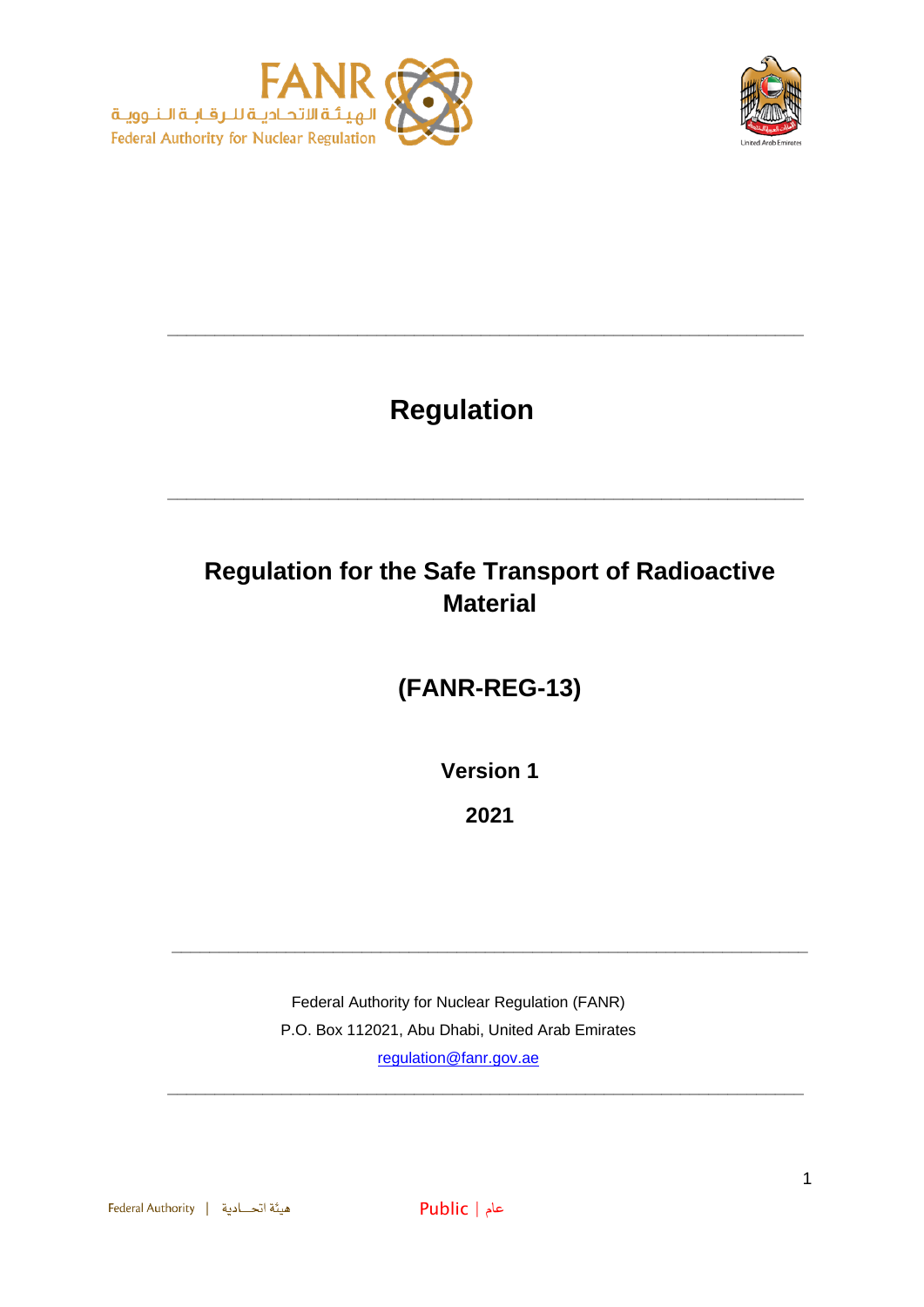



# **Regulation**

**\_\_\_\_\_\_\_\_\_\_\_\_\_\_\_\_\_\_\_\_\_\_\_\_\_\_\_\_\_\_\_\_\_\_\_\_\_\_\_\_\_\_\_\_\_\_\_\_\_\_\_\_\_\_\_\_\_\_\_\_\_\_\_\_\_\_\_**

## **Regulation for the Safe Transport of Radioactive Material**

**\_\_\_\_\_\_\_\_\_\_\_\_\_\_\_\_\_\_\_\_\_\_\_\_\_\_\_\_\_\_\_\_\_\_\_\_\_\_\_\_\_\_\_\_\_\_\_\_\_\_\_\_\_\_\_\_\_\_\_\_\_\_\_\_\_\_\_**

## **(FANR-REG-13)**

**Version 1**

**2021**

**\_\_\_\_\_\_\_\_\_\_\_\_\_\_\_\_\_\_\_\_\_\_\_\_\_\_\_\_\_\_\_\_\_\_\_\_\_\_\_\_\_\_\_\_\_\_\_\_\_\_\_\_\_\_\_\_\_\_\_\_\_\_\_\_\_\_\_**

**\_\_\_\_\_\_\_\_\_\_\_\_\_\_\_\_\_\_\_\_\_\_\_\_\_\_\_\_\_\_\_\_\_\_\_\_\_\_\_\_\_\_\_\_\_\_\_\_\_\_\_\_\_\_\_\_\_\_\_\_\_\_\_\_\_\_\_**

Federal Authority for Nuclear Regulation (FANR) P.O. Box 112021, Abu Dhabi, United Arab Emirates [regulation@fanr.gov.ae](http://www.fanr.gov.ae/)

هيئة اتحـادية | Federal Authority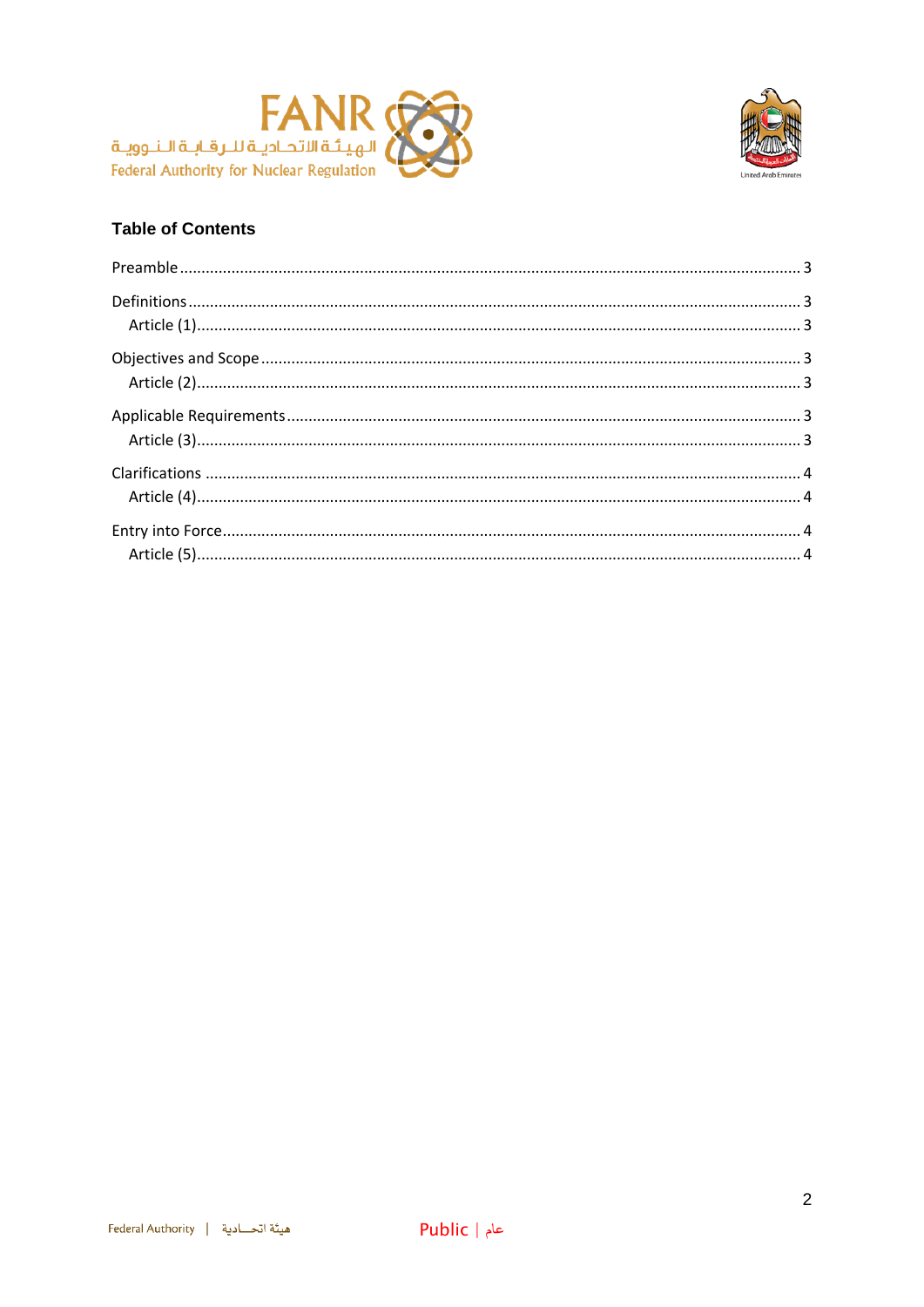



### **Table of Contents**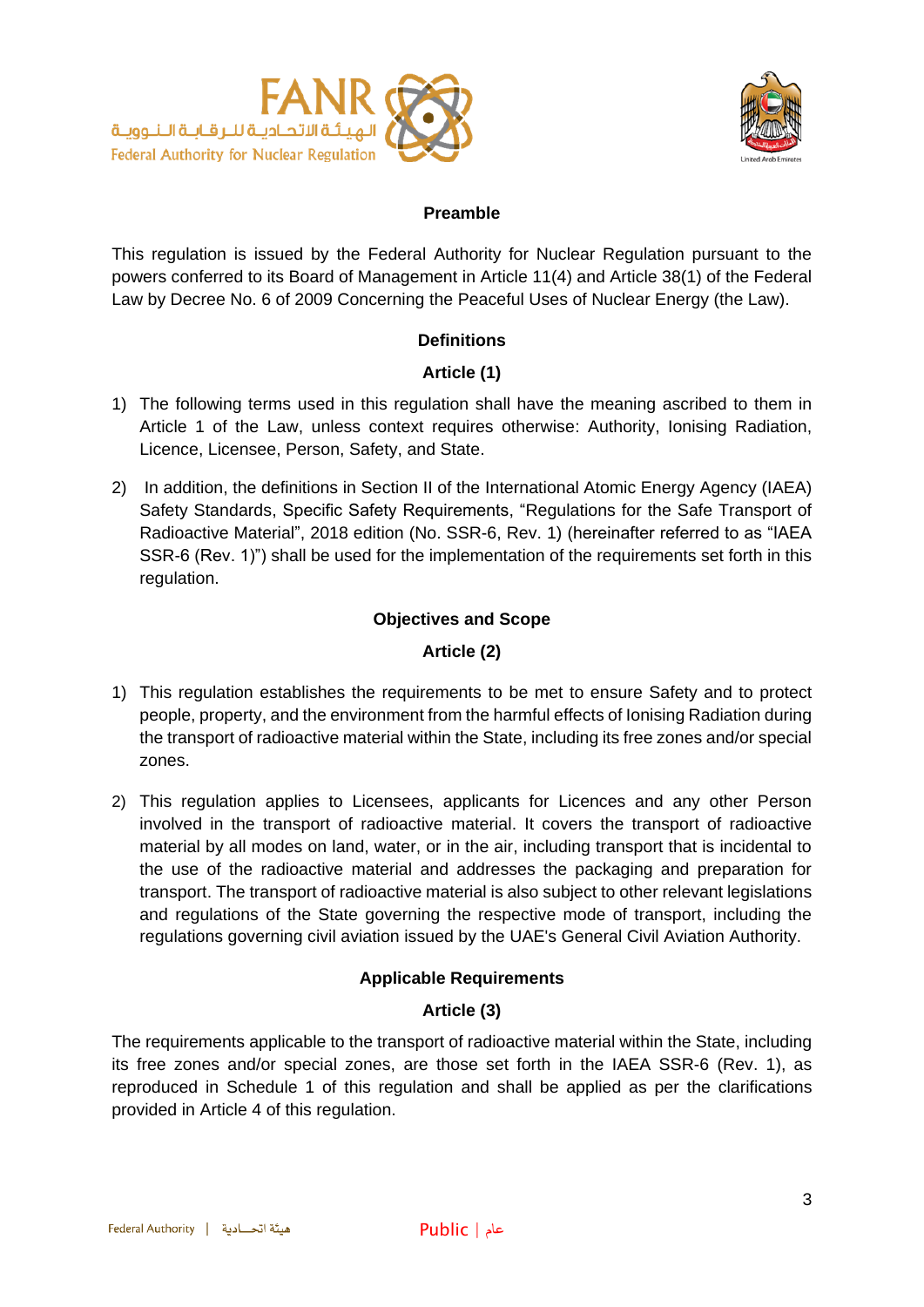



#### **Preamble**

<span id="page-2-0"></span>This regulation is issued by the Federal Authority for Nuclear Regulation pursuant to the powers conferred to its Board of Management in Article 11(4) and Article 38(1) of the Federal Law by Decree No. 6 of 2009 Concerning the Peaceful Uses of Nuclear Energy (the Law).

#### **Definitions**

#### **Article (1)**

- <span id="page-2-2"></span><span id="page-2-1"></span>1) The following terms used in this regulation shall have the meaning ascribed to them in Article 1 of the Law, unless context requires otherwise: Authority, Ionising Radiation, Licence, Licensee, Person, Safety, and State.
- 2) In addition, the definitions in Section II of the International Atomic Energy Agency (IAEA) Safety Standards, Specific Safety Requirements, "Regulations for the Safe Transport of Radioactive Material", 2018 edition (No. SSR-6, Rev. 1) (hereinafter referred to as "IAEA SSR-6 (Rev. 1)") shall be used for the implementation of the requirements set forth in this regulation.

#### **Objectives and Scope**

#### **Article (2)**

- <span id="page-2-4"></span><span id="page-2-3"></span>1) This regulation establishes the requirements to be met to ensure Safety and to protect people, property, and the environment from the harmful effects of Ionising Radiation during the transport of radioactive material within the State, including its free zones and/or special zones.
- 2) This regulation applies to Licensees, applicants for Licences and any other Person involved in the transport of radioactive material. It covers the transport of radioactive material by all modes on land, water, or in the air, including transport that is incidental to the use of the radioactive material and addresses the packaging and preparation for transport. The transport of radioactive material is also subject to other relevant legislations and regulations of the State governing the respective mode of transport, including the regulations governing civil aviation issued by the UAE's General Civil Aviation Authority.

#### **Applicable Requirements**

#### **Article (3)**

<span id="page-2-6"></span><span id="page-2-5"></span>The requirements applicable to the transport of radioactive material within the State, including its free zones and/or special zones, are those set forth in the IAEA SSR-6 (Rev. 1), as reproduced in Schedule 1 of this regulation and shall be applied as per the clarifications provided in Article 4 of this regulation.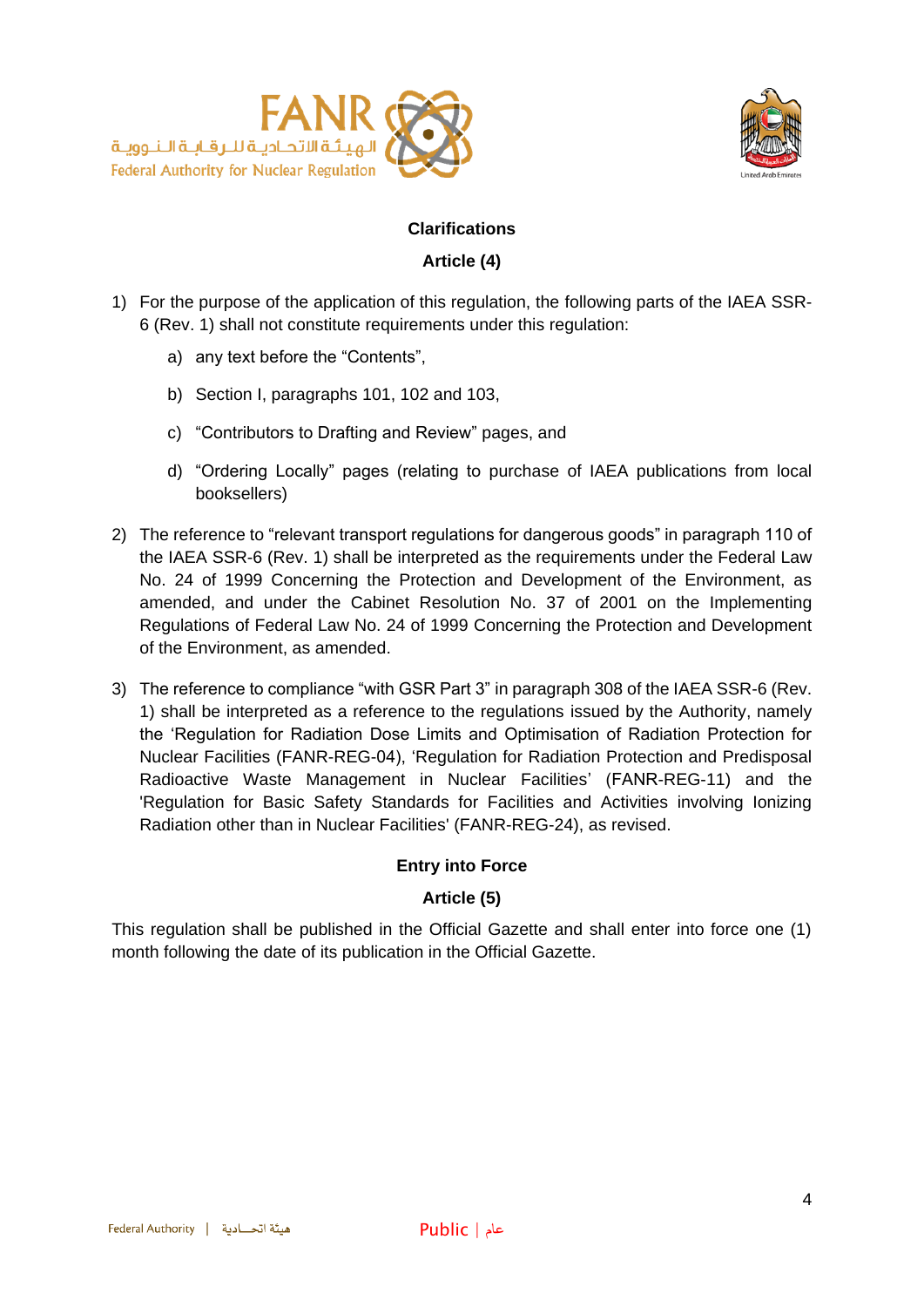



#### **Clarifications**

#### **Article (4)**

- <span id="page-3-1"></span><span id="page-3-0"></span>1) For the purpose of the application of this regulation, the following parts of the IAEA SSR-6 (Rev. 1) shall not constitute requirements under this regulation:
	- a) any text before the "Contents",
	- b) Section I, paragraphs 101, 102 and 103,
	- c) "Contributors to Drafting and Review" pages, and
	- d) "Ordering Locally" pages (relating to purchase of IAEA publications from local booksellers)
- 2) The reference to "relevant transport regulations for dangerous goods" in paragraph 110 of the IAEA SSR-6 (Rev. 1) shall be interpreted as the requirements under the Federal Law No. 24 of 1999 Concerning the Protection and Development of the Environment, as amended, and under the Cabinet Resolution No. 37 of 2001 on the Implementing Regulations of Federal Law No. 24 of 1999 Concerning the Protection and Development of the Environment, as amended.
- 3) The reference to compliance "with GSR Part 3" in paragraph 308 of the IAEA SSR-6 (Rev. 1) shall be interpreted as a reference to the regulations issued by the Authority, namely the 'Regulation for Radiation Dose Limits and Optimisation of Radiation Protection for Nuclear Facilities (FANR-REG-04), 'Regulation for Radiation Protection and Predisposal Radioactive Waste Management in Nuclear Facilities' (FANR-REG-11) and the 'Regulation for Basic Safety Standards for Facilities and Activities involving Ionizing Radiation other than in Nuclear Facilities' (FANR-REG-24), as revised.

#### **Entry into Force**

#### **Article (5)**

<span id="page-3-3"></span><span id="page-3-2"></span>This regulation shall be published in the Official Gazette and shall enter into force one (1) month following the date of its publication in the Official Gazette.